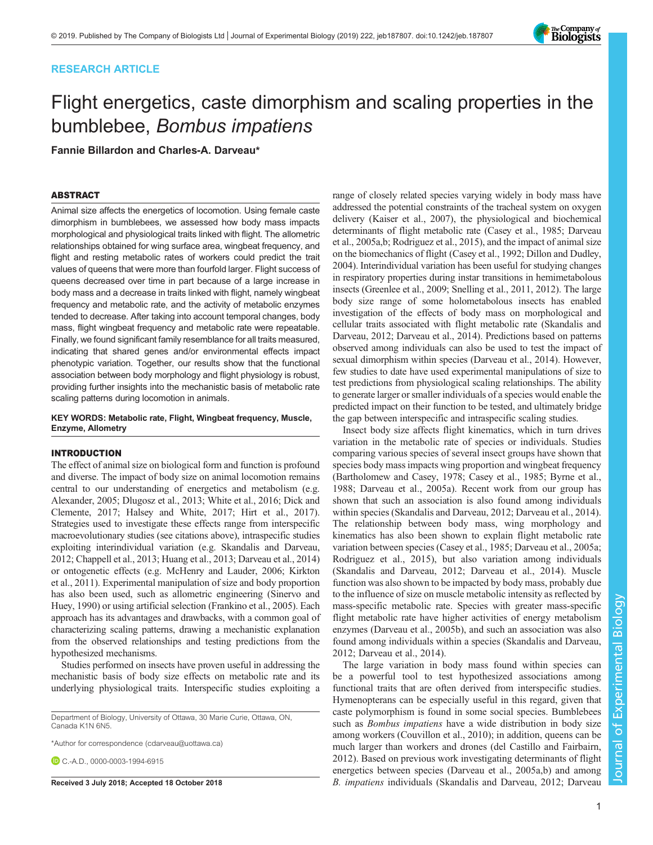# RESEARCH ARTICLE

# Flight energetics, caste dimorphism and scaling properties in the bumblebee, Bombus impatiens

Fannie Billardon and Charles-A. Darveau\*

# ABSTRACT

Animal size affects the energetics of locomotion. Using female caste dimorphism in bumblebees, we assessed how body mass impacts morphological and physiological traits linked with flight. The allometric relationships obtained for wing surface area, wingbeat frequency, and flight and resting metabolic rates of workers could predict the trait values of queens that were more than fourfold larger. Flight success of queens decreased over time in part because of a large increase in body mass and a decrease in traits linked with flight, namely wingbeat frequency and metabolic rate, and the activity of metabolic enzymes tended to decrease. After taking into account temporal changes, body mass, flight wingbeat frequency and metabolic rate were repeatable. Finally, we found significant family resemblance for all traits measured, indicating that shared genes and/or environmental effects impact phenotypic variation. Together, our results show that the functional association between body morphology and flight physiology is robust, providing further insights into the mechanistic basis of metabolic rate scaling patterns during locomotion in animals.

# KEY WORDS: Metabolic rate, Flight, Wingbeat frequency, Muscle, Enzyme, Allometry

# INTRODUCTION

The effect of animal size on biological form and function is profound and diverse. The impact of body size on animal locomotion remains central to our understanding of energetics and metabolism (e.g. [Alexander, 2005;](#page-8-0) [Dlugosz et al., 2013; White et al., 2016](#page-9-0); [Dick and](#page-9-0) [Clemente, 2017](#page-9-0); [Halsey and White, 2017; Hirt et al., 2017\)](#page-9-0). Strategies used to investigate these effects range from interspecific macroevolutionary studies (see citations above), intraspecific studies exploiting interindividual variation (e.g. [Skandalis and Darveau,](#page-9-0) [2012; Chappell et al., 2013](#page-9-0); [Huang et al., 2013; Darveau et al., 2014\)](#page-9-0) or ontogenetic effects (e.g. [McHenry and Lauder, 2006](#page-9-0); [Kirkton](#page-9-0) [et al., 2011\)](#page-9-0). Experimental manipulation of size and body proportion has also been used, such as allometric engineering ([Sinervo and](#page-9-0) [Huey, 1990\)](#page-9-0) or using artificial selection [\(Frankino et al., 2005](#page-9-0)). Each approach has its advantages and drawbacks, with a common goal of characterizing scaling patterns, drawing a mechanistic explanation from the observed relationships and testing predictions from the hypothesized mechanisms.

Studies performed on insects have proven useful in addressing the mechanistic basis of body size effects on metabolic rate and its underlying physiological traits. Interspecific studies exploiting a

Department of Biology, University of Ottawa, 30 Marie Curie, Ottawa, ON, Canada K1N 6N5.

\*Author for correspondence [\(cdarveau@uottawa.ca\)](mailto:cdarveau@uottawa.ca)

C.-A.D., [0000-0003-1994-6915](http://orcid.org/0000-0003-1994-6915)

range of closely related species varying widely in body mass have addressed the potential constraints of the tracheal system on oxygen delivery (Kaiser et al., 2007), the physiological and biochemical determinants of flight metabolic rate [\(Casey et al., 1985; Darveau](#page-9-0) [et al., 2005a,b; Rodriguez et al., 2015](#page-9-0)), and the impact of animal size on the biomechanics of flight [\(Casey et al., 1992](#page-9-0); [Dillon and Dudley,](#page-9-0) [2004\)](#page-9-0). Interindividual variation has been useful for studying changes in respiratory properties during instar transitions in hemimetabolous insects [\(Greenlee et al., 2009; Snelling et al., 2011, 2012](#page-9-0)). The large body size range of some holometabolous insects has enabled investigation of the effects of body mass on morphological and cellular traits associated with flight metabolic rate ([Skandalis and](#page-9-0) [Darveau, 2012; Darveau et al., 2014](#page-9-0)). Predictions based on patterns observed among individuals can also be used to test the impact of sexual dimorphism within species [\(Darveau et al., 2014](#page-9-0)). However, few studies to date have used experimental manipulations of size to test predictions from physiological scaling relationships. The ability to generate larger or smaller individuals of a species would enable the predicted impact on their function to be tested, and ultimately bridge the gap between interspecific and intraspecific scaling studies.

Insect body size affects flight kinematics, which in turn drives variation in the metabolic rate of species or individuals. Studies comparing various species of several insect groups have shown that species body mass impacts wing proportion and wingbeat frequency [\(Bartholomew and Casey, 1978;](#page-8-0) [Casey et al., 1985; Byrne et al.,](#page-9-0) [1988; Darveau et al., 2005a](#page-9-0)). Recent work from our group has shown that such an association is also found among individuals within species [\(Skandalis and Darveau, 2012](#page-9-0); [Darveau et al., 2014\)](#page-9-0). The relationship between body mass, wing morphology and kinematics has also been shown to explain flight metabolic rate variation between species [\(Casey et al., 1985](#page-9-0); [Darveau et al., 2005a](#page-9-0); [Rodriguez et al., 2015](#page-9-0)), but also variation among individuals [\(Skandalis and Darveau, 2012; Darveau et al., 2014\)](#page-9-0). Muscle function was also shown to be impacted by body mass, probably due to the influence of size on muscle metabolic intensity as reflected by mass-specific metabolic rate. Species with greater mass-specific flight metabolic rate have higher activities of energy metabolism enzymes ([Darveau et al., 2005b\)](#page-9-0), and such an association was also found among individuals within a species ([Skandalis and Darveau,](#page-9-0) [2012; Darveau et al., 2014](#page-9-0)).

The large variation in body mass found within species can be a powerful tool to test hypothesized associations among functional traits that are often derived from interspecific studies. Hymenopterans can be especially useful in this regard, given that caste polymorphism is found in some social species. Bumblebees such as *Bombus impatiens* have a wide distribution in body size among workers ([Couvillon et al., 2010\)](#page-9-0); in addition, queens can be much larger than workers and drones [\(del Castillo and Fairbairn,](#page-9-0) [2012\)](#page-9-0). Based on previous work investigating determinants of flight energetics between species ([Darveau et al., 2005a,b](#page-9-0)) and among Received 3 July 2018; Accepted 18 October 2018 B. impatiens individuals [\(Skandalis and Darveau, 2012](#page-9-0); [Darveau](#page-9-0)

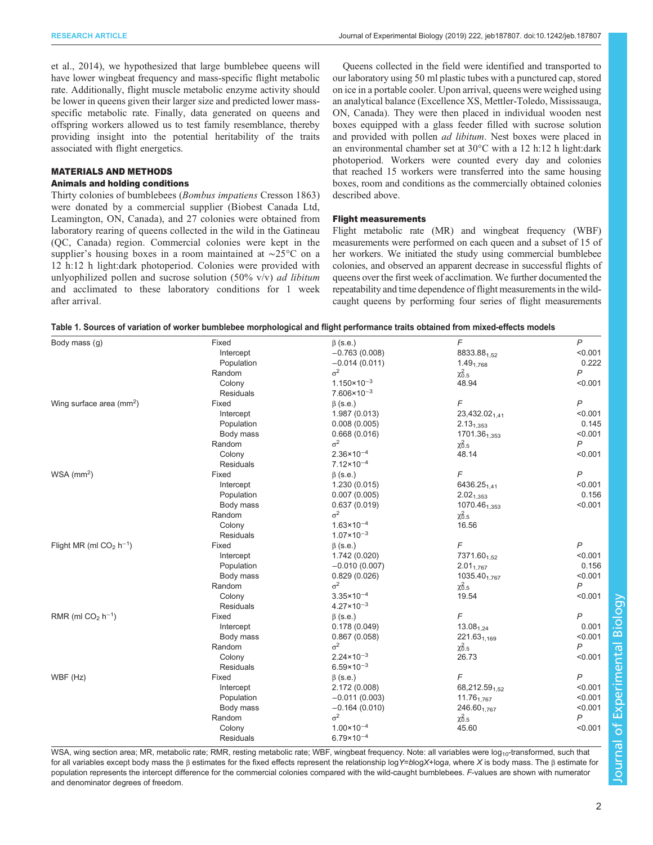<span id="page-1-0"></span>[et al., 2014\)](#page-9-0), we hypothesized that large bumblebee queens will have lower wingbeat frequency and mass-specific flight metabolic rate. Additionally, flight muscle metabolic enzyme activity should be lower in queens given their larger size and predicted lower massspecific metabolic rate. Finally, data generated on queens and offspring workers allowed us to test family resemblance, thereby providing insight into the potential heritability of the traits associated with flight energetics.

## MATERIALS AND METHODS

# Animals and holding conditions

Thirty colonies of bumblebees (Bombus impatiens Cresson 1863) were donated by a commercial supplier (Biobest Canada Ltd, Leamington, ON, Canada), and 27 colonies were obtained from laboratory rearing of queens collected in the wild in the Gatineau (QC, Canada) region. Commercial colonies were kept in the supplier's housing boxes in a room maintained at ∼25°C on a 12 h:12 h light:dark photoperiod. Colonies were provided with unlyophilized pollen and sucrose solution  $(50\% \text{ v/v})$  *ad libitum* and acclimated to these laboratory conditions for 1 week after arrival.

Queens collected in the field were identified and transported to our laboratory using 50 ml plastic tubes with a punctured cap, stored on ice in a portable cooler. Upon arrival, queens were weighed using an analytical balance (Excellence XS, Mettler-Toledo, Mississauga, ON, Canada). They were then placed in individual wooden nest boxes equipped with a glass feeder filled with sucrose solution and provided with pollen ad libitum. Nest boxes were placed in an environmental chamber set at 30°C with a 12 h:12 h light:dark photoperiod. Workers were counted every day and colonies that reached 15 workers were transferred into the same housing boxes, room and conditions as the commercially obtained colonies described above.

#### Flight measurements

Flight metabolic rate (MR) and wingbeat frequency (WBF) measurements were performed on each queen and a subset of 15 of her workers. We initiated the study using commercial bumblebee colonies, and observed an apparent decrease in successful flights of queens over the first week of acclimation. We further documented the repeatability and time dependence of flight measurements in the wildcaught queens by performing four series of flight measurements

|  | Table 1. Sources of variation of worker bumblebee morphological and flight performance traits obtained from mixed-effects models |
|--|----------------------------------------------------------------------------------------------------------------------------------|
|  |                                                                                                                                  |

| Body mass (g)                             | Fixed            | $\beta$ (s.e.)                | F                         | $\overline{P}$            |
|-------------------------------------------|------------------|-------------------------------|---------------------------|---------------------------|
|                                           | Intercept        | $-0.763(0.008)$               | 8833.88 <sub>1,52</sub>   | < 0.001                   |
|                                           | Population       | $-0.014(0.011)$               | 1.49 <sub>1.768</sub>     | 0.222                     |
|                                           | Random           | $\sigma^2$                    | $\chi^2_{0.5}$            | P                         |
|                                           | Colony           | $1.150 \times 10^{-3}$        | 48.94                     | < 0.001                   |
|                                           | <b>Residuals</b> | $7.606 \times 10^{-3}$        |                           |                           |
| Wing surface area $\text{ (mm}^2\text{)}$ | Fixed            | $\beta$ (s.e.)                | F                         | $\overline{P}$            |
|                                           | Intercept        | 1.987 (0.013)                 | 23,432.02 <sub>1.41</sub> | < 0.001                   |
|                                           | Population       | 0.008(0.005)                  | $2.13_{1,353}$            | 0.145                     |
|                                           | Body mass        | 0.668(0.016)                  | 1701.36 <sub>1.353</sub>  | < 0.001                   |
|                                           | Random           | $\sigma^2$                    | $\chi^2_{0.5}$            | $\boldsymbol{P}$          |
|                                           | Colony           | $2.36 \times 10^{-4}$         | 48.14                     | < 0.001                   |
|                                           | <b>Residuals</b> | $7.12 \times 10^{-4}$         |                           |                           |
| $WSA$ (mm <sup>2</sup> )                  | Fixed            | $\beta$ (s.e.)                | F                         | $\boldsymbol{P}$          |
|                                           | Intercept        | 1.230(0.015)                  | 6436.25 <sub>1.41</sub>   | < 0.001                   |
|                                           | Population       | 0.007(0.005)                  | $2.02_{1.353}$            | 0.156                     |
|                                           | Body mass        | 0.637(0.019)                  | 1070.46 <sub>1.353</sub>  | < 0.001                   |
|                                           | Random           | $\sigma^2$                    | $\chi^2_{0.5}$            |                           |
|                                           | Colony           | $1.63 \times 10^{-4}$         | 16.56                     |                           |
|                                           | <b>Residuals</b> | $1.07 \times 10^{-3}$         |                           |                           |
| Flight MR (ml $CO2 h-1$ )                 | Fixed            | $\beta$ (s.e.)                | F                         | $\overline{P}$            |
|                                           | Intercept        | 1.742 (0.020)                 | 7371.60 <sub>1,52</sub>   | < 0.001                   |
|                                           | Population       | $-0.010(0.007)$               | $2.01_{1,767}$            | 0.156                     |
|                                           | Body mass        | 0.829(0.026)                  | 1035.40 <sub>1,767</sub>  | < 0.001                   |
|                                           | Random           | $\sigma^2$                    | $\chi^2_{0.5}$            | $\overline{P}$            |
|                                           | Colony           | $3.35 \times 10^{-4}$         | 19.54                     | < 0.001                   |
|                                           | <b>Residuals</b> | $4.27 \times 10^{-3}$         |                           |                           |
| RMR (ml $CO2 h-1$ )                       | Fixed            | $\beta$ (s.e.)                | F                         | $\overline{P}$            |
|                                           | Intercept        | 0.178(0.049)                  | $13.08_{1,24}$            | 0.001                     |
|                                           | Body mass        | 0.867(0.058)                  |                           | < 0.001                   |
|                                           | Random           | $\sigma^2$                    | 221.63 <sub>1.169</sub>   | $\mathsf{P}$              |
|                                           | Colony           | $2.24 \times 10^{-3}$         | $\chi^2_{0.5}$<br>26.73   | < 0.001                   |
|                                           | <b>Residuals</b> | $6.59 \times 10^{-3}$         |                           |                           |
| WBF (Hz)                                  | Fixed            | $\beta$ (s.e.)                | F                         | $\overline{P}$            |
|                                           | Intercept        | 2.172 (0.008)                 |                           | < 0.001                   |
|                                           |                  |                               | 68,212.59 <sub>1.52</sub> |                           |
|                                           | Population       | $-0.011(0.003)$               | $11.76_{1,767}$           | < 0.001                   |
|                                           | Body mass        | $-0.164(0.010)$<br>$\sigma^2$ | 246.601.767               | < 0.001<br>$\overline{P}$ |
|                                           | Random           |                               | $\chi^2_{0.5}$            |                           |
|                                           | Colony           | $1.00 \times 10^{-4}$         | 45.60                     | < 0.001                   |
|                                           | Residuals        | $6.79 \times 10^{-4}$         |                           |                           |

WSA, wing section area; MR, metabolic rate; RMR, resting metabolic rate; WBF, wingbeat frequency. Note: all variables were log<sub>10</sub>-transformed, such that for all variables except body mass the β estimates for the fixed effects represent the relationship logY=blogX+loga, where X is body mass. The β estimate for population represents the intercept difference for the commercial colonies compared with the wild-caught bumblebees. F-values are shown with numerator and denominator degrees of freedom.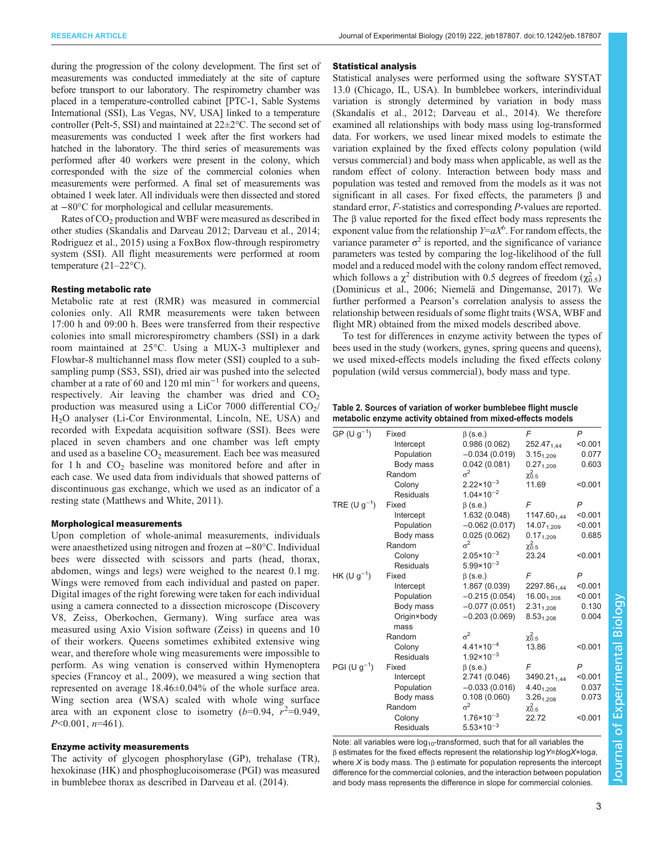<span id="page-2-0"></span>during the progression of the colony development. The first set of measurements was conducted immediately at the site of capture before transport to our laboratory. The respirometry chamber was placed in a temperature-controlled cabinet [PTC-1, Sable Systems International (SSI), Las Vegas, NV, USA] linked to a temperature controller (Pelt-5, SSI) and maintained at 22±2°C. The second set of measurements was conducted 1 week after the first workers had hatched in the laboratory. The third series of measurements was performed after 40 workers were present in the colony, which corresponded with the size of the commercial colonies when measurements were performed. A final set of measurements was obtained 1 week later. All individuals were then dissected and stored at −80°C for morphological and cellular measurements.

Rates of CO<sub>2</sub> production and WBF were measured as described in other studies ([Skandalis and Darveau 2012](#page-9-0); [Darveau et al., 2014](#page-9-0); [Rodriguez et al., 2015](#page-9-0)) using a FoxBox flow-through respirometry system (SSI). All flight measurements were performed at room temperature (21–22°C).

#### Resting metabolic rate

Metabolic rate at rest (RMR) was measured in commercial colonies only. All RMR measurements were taken between 17:00 h and 09:00 h. Bees were transferred from their respective colonies into small microrespirometry chambers (SSI) in a dark room maintained at 25°C. Using a MUX-3 multiplexer and Flowbar-8 multichannel mass flow meter (SSI) coupled to a subsampling pump (SS3, SSI), dried air was pushed into the selected chamber at a rate of 60 and 120 ml min−<sup>1</sup> for workers and queens, respectively. Air leaving the chamber was dried and  $CO<sub>2</sub>$ production was measured using a LiCor 7000 differential  $CO<sub>2</sub>/$ H2O analyser (Li-Cor Environmental, Lincoln, NE, USA) and recorded with Expedata acquisition software (SSI). Bees were placed in seven chambers and one chamber was left empty and used as a baseline  $CO<sub>2</sub>$  measurement. Each bee was measured for 1 h and  $CO<sub>2</sub>$  baseline was monitored before and after in each case. We used data from individuals that showed patterns of discontinuous gas exchange, which we used as an indicator of a resting state [\(Matthews and White, 2011](#page-9-0)).

#### Morphological measurements

Upon completion of whole-animal measurements, individuals were anaesthetized using nitrogen and frozen at −80°C. Individual bees were dissected with scissors and parts (head, thorax, abdomen, wings and legs) were weighed to the nearest 0.1 mg. Wings were removed from each individual and pasted on paper. Digital images of the right forewing were taken for each individual using a camera connected to a dissection microscope (Discovery V8, Zeiss, Oberkochen, Germany). Wing surface area was measured using Axio Vision software (Zeiss) in queens and 10 of their workers. Queens sometimes exhibited extensive wing wear, and therefore whole wing measurements were impossible to perform. As wing venation is conserved within Hymenoptera species [\(Francoy et al., 2009\)](#page-9-0), we measured a wing section that represented on average 18.46±0.04% of the whole surface area. Wing section area (WSA) scaled with whole wing surface area with an exponent close to isometry  $(b=0.94, r^2=0.949,$  $P<0.001$ ,  $n=461$ ).

## Enzyme activity measurements

The activity of glycogen phosphorylase (GP), trehalase (TR), hexokinase (HK) and phosphoglucoisomerase (PGI) was measured in bumblebee thorax as described in [Darveau et al. \(2014\).](#page-9-0)

#### Statistical analysis

Statistical analyses were performed using the software SYSTAT 13.0 (Chicago, IL, USA). In bumblebee workers, interindividual variation is strongly determined by variation in body mass (Skandalis et al., 2012; [Darveau et al., 2014\)](#page-9-0). We therefore examined all relationships with body mass using log-transformed data. For workers, we used linear mixed models to estimate the variation explained by the fixed effects colony population (wild versus commercial) and body mass when applicable, as well as the random effect of colony. Interaction between body mass and population was tested and removed from the models as it was not significant in all cases. For fixed effects, the parameters β and standard error, F-statistics and corresponding P-values are reported. The β value reported for the fixed effect body mass represents the exponent value from the relationship  $Y=aX^b$ . For random effects, the variance parameter  $\sigma^2$  is reported, and the significance of variance parameters was tested by comparing the log-likelihood of the full model and a reduced model with the colony random effect removed, which follows a  $\chi^2$  distribution with 0.5 degrees of freedom ( $\chi^2_{0.5}$ ) [\(Dominicus et al., 2006](#page-9-0); [Niemelä and Dingemanse, 2017](#page-9-0)). We further performed a Pearson's correlation analysis to assess the relationship between residuals of some flight traits (WSA, WBF and flight MR) obtained from the mixed models described above.

To test for differences in enzyme activity between the types of bees used in the study (workers, gynes, spring queens and queens), we used mixed-effects models including the fixed effects colony population (wild versus commercial), body mass and type.

| Table 2. Sources of variation of worker bumblebee flight muscle |
|-----------------------------------------------------------------|
| metabolic enzyme activity obtained from mixed-effects models    |

| GP (U $g^{-1}$ )  | Fixed            | $\beta$ (s.e.)        | F                       | $\overline{P}$ |
|-------------------|------------------|-----------------------|-------------------------|----------------|
|                   | Intercept        | 0.986(0.062)          | 252.47 <sub>1.44</sub>  | < 0.001        |
|                   | Population       | $-0.034(0.019)$       | $3.15_{1,209}$          | 0.077          |
|                   | Body mass        | 0.042(0.081)          | $0.27_{1,209}$          | 0.603          |
|                   | Random           | $\sigma^2$            | $\chi^2_{0.5}$          |                |
|                   | Colony           | $2.22 \times 10^{-3}$ | 11.69                   | < 0.001        |
|                   | <b>Residuals</b> | $1.04 \times 10^{-2}$ |                         |                |
| TRE (U $g^{-1}$ ) | Fixed            | $\beta$ (s.e.)        | F                       | $\mathsf{P}$   |
|                   | Intercept        | 1.632 (0.048)         | 1147.60 <sub>1.44</sub> | < 0.001        |
|                   | Population       | $-0.062(0.017)$       | 14.07 <sub>1,209</sub>  | < 0.001        |
|                   | Body mass        | 0.025(0.062)          | $0.17_{1,209}$          | 0.685          |
|                   | Random           | $\sigma^2$            | $\chi^2_{0.5}$          |                |
|                   | Colony           | $2.05 \times 10^{-3}$ | 23.24                   | < 0.001        |
|                   | <b>Residuals</b> | $5.99 \times 10^{-3}$ |                         |                |
| HK (U $q^{-1}$ )  | Fixed            | $\beta$ (s.e.)        | F                       | P              |
|                   | Intercept        | 1.867 (0.039)         | 2297.86 <sub>1.44</sub> | < 0.001        |
|                   | Population       | $-0.215(0.054)$       | $16.00_{1,208}$         | < 0.001        |
|                   | Body mass        | $-0.077(0.051)$       | $2.31_{1,208}$          | 0.130          |
|                   | Origin×body      | $-0.203(0.069)$       | $8.53_{1,208}$          | 0.004          |
|                   | mass             |                       |                         |                |
|                   | Random           | $\sigma^2$            | $\chi_{0.5}^2$          |                |
|                   | Colony           | $4.41 \times 10^{-4}$ | 13.86                   | < 0.001        |
|                   | <b>Residuals</b> | $1.92 \times 10^{-3}$ |                         |                |
| PGI (U $g^{-1}$ ) | Fixed            | $\beta$ (s.e.)        | F                       | $\mathsf{P}$   |
|                   | Intercept        | 2.741 (0.046)         | 3490.21 <sub>144</sub>  | < 0.001        |
|                   | Population       | $-0.033(0.016)$       | $4.40_{1,208}$          | 0.037          |
|                   | Body mass        | 0.108(0.060)          | $3.26_{1,208}$          | 0.073          |
|                   | Random           | $\sigma^2$            | $\chi^2_{0.5}$          |                |
|                   | Colony           | $1.76 \times 10^{-3}$ | 22.72                   | < 0.001        |
|                   | <b>Residuals</b> | $5.53 \times 10^{-3}$ |                         |                |
|                   |                  |                       |                         |                |

Note: all variables were  $log_{10}$ -transformed, such that for all variables the β estimates for the fixed effects represent the relationship logY=blogX+loga, where X is body mass. The  $\beta$  estimate for population represents the intercept difference for the commercial colonies, and the interaction between population and body mass represents the difference in slope for commercial colonies.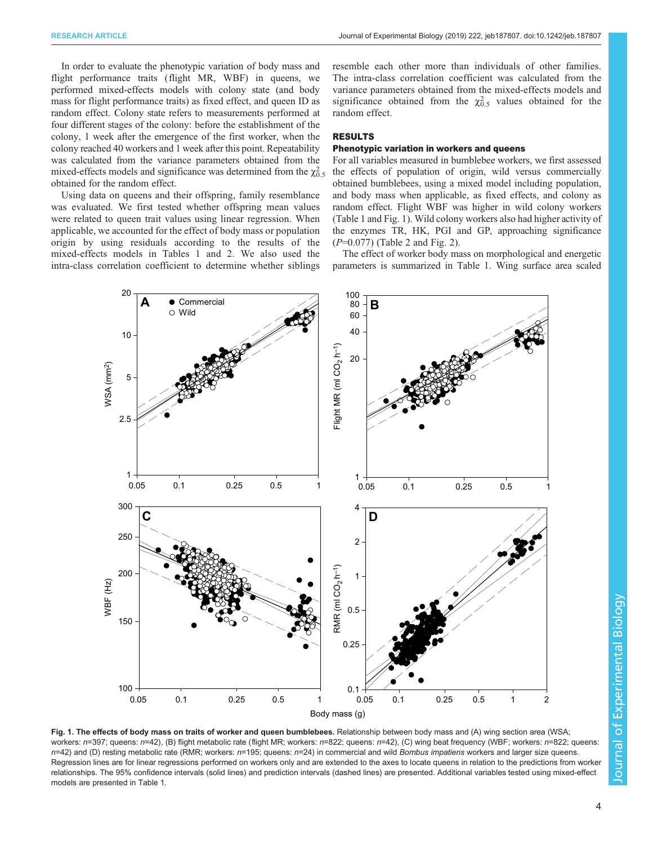<span id="page-3-0"></span>In order to evaluate the phenotypic variation of body mass and flight performance traits (flight MR, WBF) in queens, we performed mixed-effects models with colony state (and body mass for flight performance traits) as fixed effect, and queen ID as random effect. Colony state refers to measurements performed at four different stages of the colony: before the establishment of the colony, 1 week after the emergence of the first worker, when the colony reached 40 workers and 1 week after this point. Repeatability was calculated from the variance parameters obtained from the mixed-effects models and significance was determined from the  $\chi_{0.5}^2$ obtained for the random effect.

Using data on queens and their offspring, family resemblance was evaluated. We first tested whether offspring mean values were related to queen trait values using linear regression. When applicable, we accounted for the effect of body mass or population origin by using residuals according to the results of the mixed-effects models in [Tables 1](#page-1-0) and [2.](#page-2-0) We also used the intra-class correlation coefficient to determine whether siblings resemble each other more than individuals of other families. The intra-class correlation coefficient was calculated from the variance parameters obtained from the mixed-effects models and significance obtained from the  $\chi_{0.5}^2$  values obtained for the random effect.

## RESULTS

### Phenotypic variation in workers and queens

For all variables measured in bumblebee workers, we first assessed the effects of population of origin, wild versus commercially obtained bumblebees, using a mixed model including population, and body mass when applicable, as fixed effects, and colony as random effect. Flight WBF was higher in wild colony workers [\(Table 1](#page-1-0) and Fig. 1). Wild colony workers also had higher activity of the enzymes TR, HK, PGI and GP, approaching significance  $(P=0.077)$  [\(Table 2](#page-2-0) and [Fig. 2](#page-4-0)).

The effect of worker body mass on morphological and energetic parameters is summarized in [Table 1.](#page-1-0) Wing surface area scaled



Fig. 1. The effects of body mass on traits of worker and queen bumblebees. Relationship between body mass and (A) wing section area (WSA; workers: n=397; queens: n=42), (B) flight metabolic rate (flight MR; workers: n=822; queens: n=42), (C) wing beat frequency (WBF; workers: n=822; queens: n=42) and (D) resting metabolic rate (RMR; workers: n=195; queens: n=24) in commercial and wild Bombus impatiens workers and larger size queens. Regression lines are for linear regressions performed on workers only and are extended to the axes to locate queens in relation to the predictions from worker relationships. The 95% confidence intervals (solid lines) and prediction intervals (dashed lines) are presented. Additional variables tested using mixed-effect models are presented in [Table 1](#page-1-0).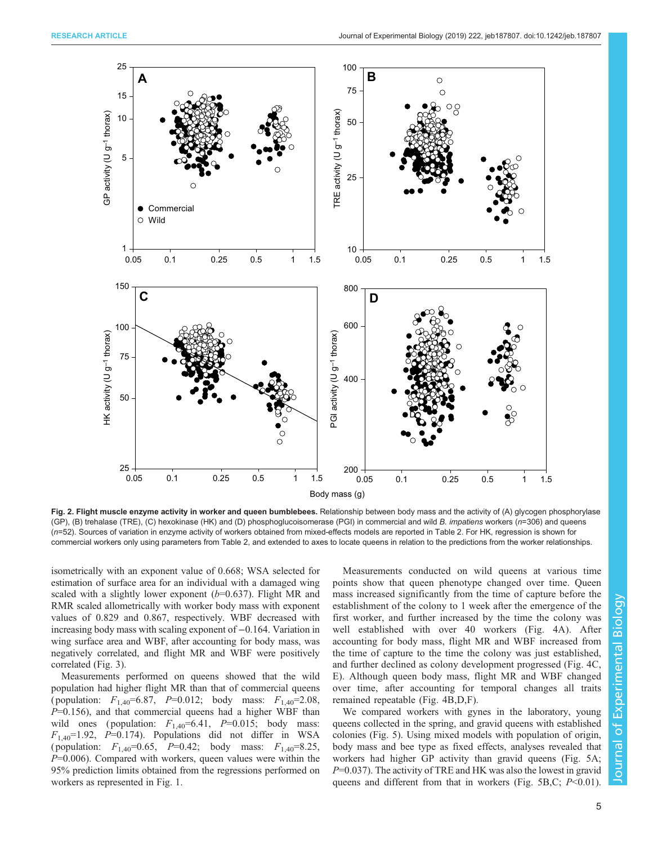<span id="page-4-0"></span>

Fig. 2. Flight muscle enzyme activity in worker and queen bumblebees. Relationship between body mass and the activity of (A) glycogen phosphorylase (GP), (B) trehalase (TRE), (C) hexokinase (HK) and (D) phosphoglucoisomerase (PGI) in commercial and wild B. impatiens workers (n=306) and queens (n=52). Sources of variation in enzyme activity of workers obtained from mixed-effects models are reported in [Table 2.](#page-2-0) For HK, regression is shown for commercial workers only using parameters from [Table 2,](#page-2-0) and extended to axes to locate queens in relation to the predictions from the worker relationships.

isometrically with an exponent value of 0.668; WSA selected for estimation of surface area for an individual with a damaged wing scaled with a slightly lower exponent  $(b=0.637)$ . Flight MR and RMR scaled allometrically with worker body mass with exponent values of 0.829 and 0.867, respectively. WBF decreased with increasing body mass with scaling exponent of −0.164. Variation in wing surface area and WBF, after accounting for body mass, was negatively correlated, and flight MR and WBF were positively correlated ([Fig. 3](#page-5-0)).

Measurements performed on queens showed that the wild population had higher flight MR than that of commercial queens (population:  $F_{1,40} = 6.87$ ,  $P = 0.012$ ; body mass:  $F_{1,40} = 2.08$ ,  $P=0.156$ ), and that commercial queens had a higher WBF than wild ones (population:  $F_{1,40} = 6.41$ ,  $P = 0.015$ ; body mass:  $F_{1,40}$ =1.92, P=0.174). Populations did not differ in WSA ( population:  $F_{1,40} = 0.65$ ,  $P = 0.42$ ; body mass:  $F_{1,40} = 8.25$ ,  $P=0.006$ ). Compared with workers, queen values were within the 95% prediction limits obtained from the regressions performed on workers as represented in [Fig. 1](#page-3-0).

Measurements conducted on wild queens at various time points show that queen phenotype changed over time. Queen mass increased significantly from the time of capture before the establishment of the colony to 1 week after the emergence of the first worker, and further increased by the time the colony was well established with over 40 workers [\(Fig. 4A](#page-6-0)). After accounting for body mass, flight MR and WBF increased from the time of capture to the time the colony was just established, and further declined as colony development progressed [\(Fig. 4](#page-6-0)C, E). Although queen body mass, flight MR and WBF changed over time, after accounting for temporal changes all traits remained repeatable [\(Fig. 4B](#page-6-0),D,F).

We compared workers with gynes in the laboratory, young queens collected in the spring, and gravid queens with established colonies ([Fig. 5\)](#page-7-0). Using mixed models with population of origin, body mass and bee type as fixed effects, analyses revealed that workers had higher GP activity than gravid queens ([Fig. 5A](#page-7-0);  $P=0.037$ ). The activity of TRE and HK was also the lowest in gravid queens and different from that in workers [\(Fig. 5](#page-7-0)B,C;  $P<0.01$ ).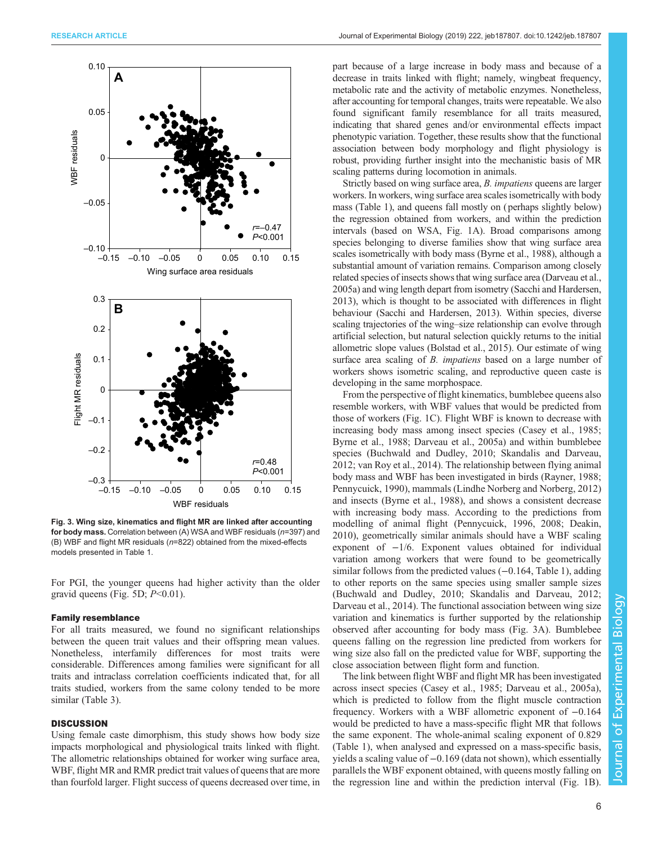<span id="page-5-0"></span>

Fig. 3. Wing size, kinematics and flight MR are linked after accounting for body mass. Correlation between (A) WSA and WBF residuals (n=397) and (B) WBF and flight MR residuals (n=822) obtained from the mixed-effects models presented in [Table 1.](#page-1-0)

For PGI, the younger queens had higher activity than the older gravid queens [\(Fig. 5D](#page-7-0);  $P<0.01$ ).

### Family resemblance

For all traits measured, we found no significant relationships between the queen trait values and their offspring mean values. Nonetheless, interfamily differences for most traits were considerable. Differences among families were significant for all traits and intraclass correlation coefficients indicated that, for all traits studied, workers from the same colony tended to be more similar ([Table 3](#page-8-0)).

# **DISCUSSION**

Using female caste dimorphism, this study shows how body size impacts morphological and physiological traits linked with flight. The allometric relationships obtained for worker wing surface area, WBF, flight MR and RMR predict trait values of queens that are more than fourfold larger. Flight success of queens decreased over time, in

part because of a large increase in body mass and because of a decrease in traits linked with flight; namely, wingbeat frequency, metabolic rate and the activity of metabolic enzymes. Nonetheless, after accounting for temporal changes, traits were repeatable. We also found significant family resemblance for all traits measured, indicating that shared genes and/or environmental effects impact phenotypic variation. Together, these results show that the functional association between body morphology and flight physiology is robust, providing further insight into the mechanistic basis of MR scaling patterns during locomotion in animals.

Strictly based on wing surface area, B. impatiens queens are larger workers. In workers, wing surface area scales isometrically with body mass [\(Table 1\)](#page-1-0), and queens fall mostly on ( perhaps slightly below) the regression obtained from workers, and within the prediction intervals (based on WSA, [Fig. 1](#page-3-0)A). Broad comparisons among species belonging to diverse families show that wing surface area scales isometrically with body mass ([Byrne et al., 1988](#page-9-0)), although a substantial amount of variation remains. Comparison among closely related species of insects shows that wing surface area [\(Darveau et al.,](#page-9-0) [2005a\)](#page-9-0) and wing length depart from isometry [\(Sacchi and Hardersen,](#page-9-0) [2013\)](#page-9-0), which is thought to be associated with differences in flight behaviour [\(Sacchi and Hardersen, 2013](#page-9-0)). Within species, diverse scaling trajectories of the wing–size relationship can evolve through artificial selection, but natural selection quickly returns to the initial allometric slope values ([Bolstad et al., 2015\)](#page-8-0). Our estimate of wing surface area scaling of *B. impatiens* based on a large number of workers shows isometric scaling, and reproductive queen caste is developing in the same morphospace.

From the perspective of flight kinematics, bumblebee queens also resemble workers, with WBF values that would be predicted from those of workers ([Fig. 1](#page-3-0)C). Flight WBF is known to decrease with increasing body mass among insect species ([Casey et al., 1985](#page-9-0); [Byrne et al., 1988](#page-9-0); [Darveau et al., 2005a\)](#page-9-0) and within bumblebee species [\(Buchwald and Dudley, 2010](#page-9-0); [Skandalis and Darveau,](#page-9-0) [2012; van Roy et al., 2014](#page-9-0)). The relationship between flying animal body mass and WBF has been investigated in birds ([Rayner, 1988](#page-9-0); [Pennycuick, 1990](#page-9-0)), mammals [\(Lindhe Norberg and Norberg, 2012\)](#page-9-0) and insects ([Byrne et al., 1988](#page-9-0)), and shows a consistent decrease with increasing body mass. According to the predictions from modelling of animal flight ([Pennycuick, 1996, 2008](#page-9-0); [Deakin,](#page-9-0) [2010\)](#page-9-0), geometrically similar animals should have a WBF scaling exponent of −1/6. Exponent values obtained for individual variation among workers that were found to be geometrically similar follows from the predicted values (−0.164, [Table 1\)](#page-1-0), adding to other reports on the same species using smaller sample sizes [\(Buchwald and Dudley, 2010; Skandalis and Darveau, 2012](#page-9-0); [Darveau et al., 2014](#page-9-0)). The functional association between wing size variation and kinematics is further supported by the relationship observed after accounting for body mass (Fig. 3A). Bumblebee queens falling on the regression line predicted from workers for wing size also fall on the predicted value for WBF, supporting the close association between flight form and function.

The link between flight WBF and flight MR has been investigated across insect species ([Casey et al., 1985; Darveau et al., 2005a\)](#page-9-0), which is predicted to follow from the flight muscle contraction frequency. Workers with a WBF allometric exponent of −0.164 would be predicted to have a mass-specific flight MR that follows the same exponent. The whole-animal scaling exponent of 0.829 [\(Table 1](#page-1-0)), when analysed and expressed on a mass-specific basis, yields a scaling value of −0.169 (data not shown), which essentially parallels the WBF exponent obtained, with queens mostly falling on the regression line and within the prediction interval [\(Fig. 1](#page-3-0)B).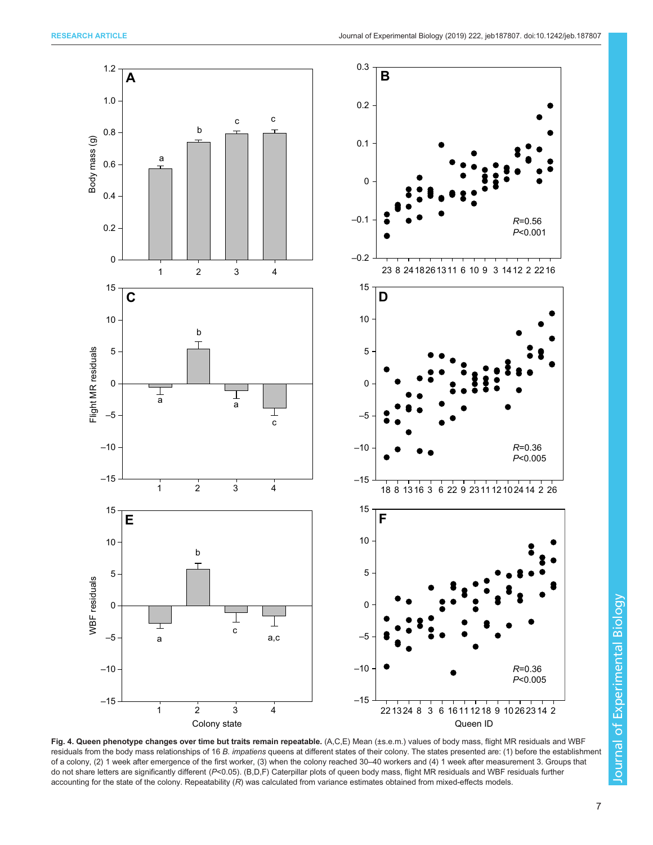<span id="page-6-0"></span>

Fig. 4. Queen phenotype changes over time but traits remain repeatable. (A,C,E) Mean (±s.e.m.) values of body mass, flight MR residuals and WBF residuals from the body mass relationships of 16 B. impatiens queens at different states of their colony. The states presented are: (1) before the establishment of a colony, (2) 1 week after emergence of the first worker, (3) when the colony reached 30–40 workers and (4) 1 week after measurement 3. Groups that do not share letters are significantly different (P<0.05). (B,D,F) Caterpillar plots of queen body mass, flight MR residuals and WBF residuals further accounting for the state of the colony. Repeatability (R) was calculated from variance estimates obtained from mixed-effects models.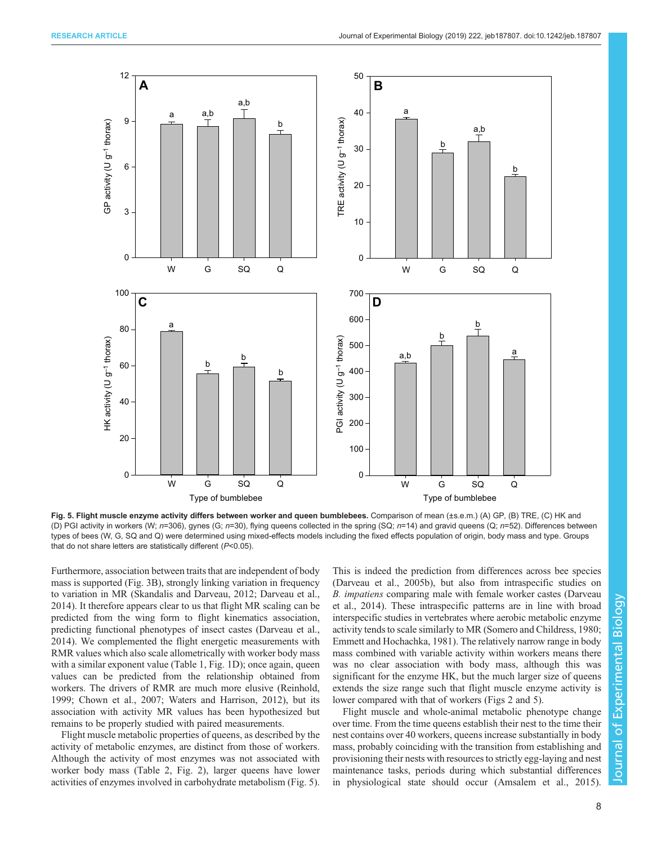<span id="page-7-0"></span>

Fig. 5. Flight muscle enzyme activity differs between worker and queen bumblebees. Comparison of mean (±s.e.m.) (A) GP, (B) TRE, (C) HK and (D) PGI activity in workers (W;  $n=306$ ), gynes (G;  $n=30$ ), flying queens collected in the spring (SQ;  $n=14$ ) and gravid queens (Q;  $n=52$ ). Differences between types of bees (W, G, SQ and Q) were determined using mixed-effects models including the fixed effects population of origin, body mass and type. Groups that do not share letters are statistically different  $(P<0.05)$ .

Furthermore, association between traits that are independent of body mass is supported [\(Fig. 3B](#page-5-0)), strongly linking variation in frequency to variation in MR ([Skandalis and Darveau, 2012](#page-9-0); [Darveau et al.,](#page-9-0) [2014](#page-9-0)). It therefore appears clear to us that flight MR scaling can be predicted from the wing form to flight kinematics association, predicting functional phenotypes of insect castes [\(Darveau et al.,](#page-9-0) [2014](#page-9-0)). We complemented the flight energetic measurements with RMR values which also scale allometrically with worker body mass with a similar exponent value [\(Table 1](#page-1-0), [Fig. 1D](#page-3-0)); once again, queen values can be predicted from the relationship obtained from workers. The drivers of RMR are much more elusive [\(Reinhold,](#page-9-0) [1999](#page-9-0); [Chown et al., 2007](#page-9-0); [Waters and Harrison, 2012\)](#page-9-0), but its association with activity MR values has been hypothesized but remains to be properly studied with paired measurements.

Flight muscle metabolic properties of queens, as described by the activity of metabolic enzymes, are distinct from those of workers. Although the activity of most enzymes was not associated with worker body mass ([Table 2](#page-2-0), [Fig. 2](#page-4-0)), larger queens have lower activities of enzymes involved in carbohydrate metabolism (Fig. 5). This is indeed the prediction from differences across bee species [\(Darveau et al., 2005b](#page-9-0)), but also from intraspecific studies on B. impatiens comparing male with female worker castes [\(Darveau](#page-9-0) [et al., 2014](#page-9-0)). These intraspecific patterns are in line with broad interspecific studies in vertebrates where aerobic metabolic enzyme activity tends to scale similarly to MR ([Somero and Childress, 1980](#page-9-0); [Emmett and Hochachka, 1981\)](#page-9-0). The relatively narrow range in body mass combined with variable activity within workers means there was no clear association with body mass, although this was significant for the enzyme HK, but the much larger size of queens extends the size range such that flight muscle enzyme activity is lower compared with that of workers [\(Figs 2](#page-4-0) and 5).

Flight muscle and whole-animal metabolic phenotype change over time. From the time queens establish their nest to the time their nest contains over 40 workers, queens increase substantially in body mass, probably coinciding with the transition from establishing and provisioning their nests with resources to strictly egg-laying and nest maintenance tasks, periods during which substantial differences in physiological state should occur ([Amsalem et al., 2015\)](#page-8-0).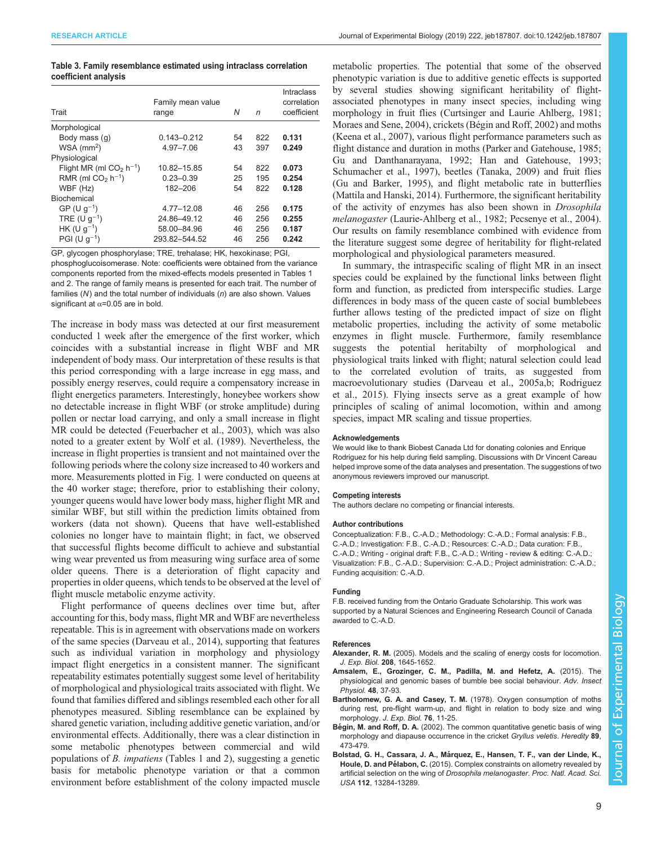## <span id="page-8-0"></span>Table 3. Family resemblance estimated using intraclass correlation coefficient analysis

| Trait                                 | Family mean value<br>range | N  | n   | <b>Intraclass</b><br>correlation<br>coefficient |
|---------------------------------------|----------------------------|----|-----|-------------------------------------------------|
| Morphological                         |                            |    |     |                                                 |
| Body mass (q)                         | $0.143 - 0.212$            | 54 | 822 | 0.131                                           |
| $WSA$ (mm <sup>2</sup> )              | 4.97-7.06                  | 43 | 397 | 0.249                                           |
| Physiological                         |                            |    |     |                                                 |
| Flight MR (ml $CO2$ h <sup>-1</sup> ) | 10.82-15.85                | 54 | 822 | 0.073                                           |
| RMR (ml $CO2$ h <sup>-1</sup> )       | $0.23 - 0.39$              | 25 | 195 | 0.254                                           |
| WBF (Hz)                              | 182-206                    | 54 | 822 | 0.128                                           |
| Biochemical                           |                            |    |     |                                                 |
| $GP (U q^{-1})$                       | 4.77-12.08                 | 46 | 256 | 0.175                                           |
| TRE (U $q^{-1}$ )                     | 24.86-49.12                | 46 | 256 | 0.255                                           |
| $HK (U q^{-1})$                       | 58.00-84.96                | 46 | 256 | 0.187                                           |
| $PGI (U q^{-1})$                      | 293.82-544.52              | 46 | 256 | 0.242                                           |

GP, glycogen phosphorylase; TRE, trehalase; HK, hexokinase; PGI, phosphoglucoisomerase. Note: coefficients were obtained from the variance components reported from the mixed-effects models presented in [Tables 1](#page-1-0) and [2.](#page-2-0) The range of family means is presented for each trait. The number of families  $(N)$  and the total number of individuals  $(n)$  are also shown. Values significant at  $\alpha$ =0.05 are in bold.

The increase in body mass was detected at our first measurement conducted 1 week after the emergence of the first worker, which coincides with a substantial increase in flight WBF and MR independent of body mass. Our interpretation of these results is that this period corresponding with a large increase in egg mass, and possibly energy reserves, could require a compensatory increase in flight energetics parameters. Interestingly, honeybee workers show no detectable increase in flight WBF (or stroke amplitude) during pollen or nectar load carrying, and only a small increase in flight MR could be detected ([Feuerbacher et al., 2003](#page-9-0)), which was also noted to a greater extent by [Wolf et al. \(1989\).](#page-9-0) Nevertheless, the increase in flight properties is transient and not maintained over the following periods where the colony size increased to 40 workers and more. Measurements plotted in [Fig. 1](#page-3-0) were conducted on queens at the 40 worker stage; therefore, prior to establishing their colony, younger queens would have lower body mass, higher flight MR and similar WBF, but still within the prediction limits obtained from workers (data not shown). Queens that have well-established colonies no longer have to maintain flight; in fact, we observed that successful flights become difficult to achieve and substantial wing wear prevented us from measuring wing surface area of some older queens. There is a deterioration of flight capacity and properties in older queens, which tends to be observed at the level of flight muscle metabolic enzyme activity.

Flight performance of queens declines over time but, after accounting for this, body mass, flight MR and WBF are nevertheless repeatable. This is in agreement with observations made on workers of the same species ([Darveau et al., 2014](#page-9-0)), supporting that features such as individual variation in morphology and physiology impact flight energetics in a consistent manner. The significant repeatability estimates potentially suggest some level of heritability of morphological and physiological traits associated with flight. We found that families differed and siblings resembled each other for all phenotypes measured. Sibling resemblance can be explained by shared genetic variation, including additive genetic variation, and/or environmental effects. Additionally, there was a clear distinction in some metabolic phenotypes between commercial and wild populations of B. impatiens [\(Tables 1](#page-1-0) and [2\)](#page-2-0), suggesting a genetic basis for metabolic phenotype variation or that a common environment before establishment of the colony impacted muscle

metabolic properties. The potential that some of the observed phenotypic variation is due to additive genetic effects is supported by several studies showing significant heritability of flightassociated phenotypes in many insect species, including wing morphology in fruit flies [\(Curtsinger and Laurie Ahlberg, 1981](#page-9-0); [Moraes and Sene, 2004](#page-9-0)), crickets (Bégin and Roff, 2002) and moths [\(Keena et al., 2007](#page-9-0)), various flight performance parameters such as flight distance and duration in moths ([Parker and Gatehouse, 1985](#page-9-0); [Gu and Danthanarayana, 1992](#page-9-0); [Han and Gatehouse, 1993](#page-9-0); [Schumacher et al., 1997\)](#page-9-0), beetles [\(Tanaka, 2009](#page-9-0)) and fruit flies [\(Gu and Barker, 1995\)](#page-9-0), and flight metabolic rate in butterflies [\(Mattila and Hanski, 2014\)](#page-9-0). Furthermore, the significant heritability of the activity of enzymes has also been shown in Drosophila melanogaster [\(Laurie-Ahlberg et al., 1982; Pecsenye et al., 2004\)](#page-9-0). Our results on family resemblance combined with evidence from the literature suggest some degree of heritability for flight-related morphological and physiological parameters measured.

In summary, the intraspecific scaling of flight MR in an insect species could be explained by the functional links between flight form and function, as predicted from interspecific studies. Large differences in body mass of the queen caste of social bumblebees further allows testing of the predicted impact of size on flight metabolic properties, including the activity of some metabolic enzymes in flight muscle. Furthermore, family resemblance suggests the potential heritabilty of morphological and physiological traits linked with flight; natural selection could lead to the correlated evolution of traits, as suggested from macroevolutionary studies ([Darveau et al., 2005a,b](#page-9-0); [Rodriguez](#page-9-0) [et al., 2015\)](#page-9-0). Flying insects serve as a great example of how principles of scaling of animal locomotion, within and among species, impact MR scaling and tissue properties.

#### Acknowledgements

We would like to thank Biobest Canada Ltd for donating colonies and Enrique Rodriguez for his help during field sampling. Discussions with Dr Vincent Careau helped improve some of the data analyses and presentation. The suggestions of two anonymous reviewers improved our manuscript.

#### Competing interests

The authors declare no competing or financial interests.

#### Author contributions

Conceptualization: F.B., C.-A.D.; Methodology: C.-A.D.; Formal analysis: F.B., C.-A.D.; Investigation: F.B., C.-A.D.; Resources: C.-A.D.; Data curation: F.B., C.-A.D.; Writing - original draft: F.B., C.-A.D.; Writing - review & editing: C.-A.D.; Visualization: F.B., C.-A.D.; Supervision: C.-A.D.; Project administration: C.-A.D.; Funding acquisition: C.-A.D.

#### Funding

F.B. received funding from the Ontario Graduate Scholarship. This work was supported by a Natural Sciences and Engineering Research Council of Canada awarded to C.-A.D.

#### References

- Alexander, R. M. [\(2005\). Models and the scaling of energy costs for locomotion.](https://doi.org/10.1242/jeb.01484) J. Exp. Biol. 208[, 1645-1652.](https://doi.org/10.1242/jeb.01484)
- [Amsalem, E., Grozinger, C. M., Padilla, M. and Hefetz, A.](https://doi.org/10.1016/bs.aiip.2015.01.001) (2015). The [physiological and genomic bases of bumble bee social behaviour.](https://doi.org/10.1016/bs.aiip.2015.01.001) Adv. Insect [Physiol.](https://doi.org/10.1016/bs.aiip.2015.01.001) 48, 37-93.
- Bartholomew, G. A. and Casey, T. M. (1978). Oxygen consumption of moths during rest, pre-flight warm-up, and flight in relation to body size and wing morphology. J. Exp. Biol. 76, 11-25.
- Bégin, M. and Roff, D. A. [\(2002\). The common quantitative genetic basis of wing](https://doi.org/10.1038/sj.hdy.6800168) [morphology and diapause occurrence in the cricket](https://doi.org/10.1038/sj.hdy.6800168) Gryllus veletis. Heredity 89, [473-479.](https://doi.org/10.1038/sj.hdy.6800168)
- Bolstad, G. H., Cassara, J. A., Má[rquez, E., Hansen, T. F., van der Linde, K.,](https://doi.org/10.1073/pnas.1505357112) Houle, D. and Pélabon, C. [\(2015\). Complex constraints on allometry revealed by](https://doi.org/10.1073/pnas.1505357112) [artificial selection on the wing of](https://doi.org/10.1073/pnas.1505357112) Drosophila melanogaster. Proc. Natl. Acad. Sci. USA 112[, 13284-13289.](https://doi.org/10.1073/pnas.1505357112)